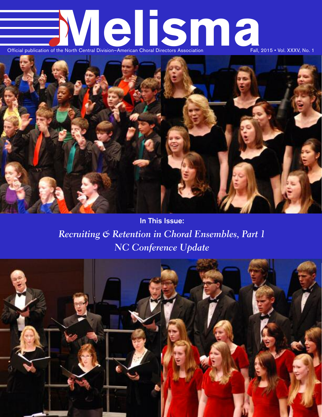# **Official publication of the North Central Division–American Choral Directors Association** Fall, 2015 • Vol. XXXV, No. 1



**In This Issue:** *Recruiting & Retention in Choral Ensembles, Part 1 NC Conference Update*

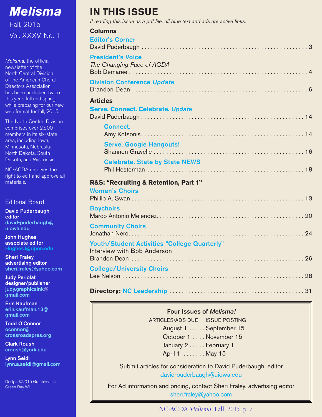<span id="page-1-0"></span>

*Melisma,* the official newsletter of the North Central Division of the American Choral Directors Association, has been published twice this year: fall and spring, while preparing for our new web format for fall, 2015.

The North Central Division comprises over 2,500 members in its six-state area, including Iowa, Minnesota, Nebraska, North Dakota, South Dakota, and Wisconsin.

NC-ACDA reserves the right to edit and approve all materials.

#### Editorial Board

**David Puderbaugh editor [david-puderbaugh@](mailto:david-puderbaugh@uiowa.edu) [uiowa.edu](mailto:david-puderbaugh@uiowa.edu)**

**John Hughes associate editor [HughesJ@ripon.edu](mailto:HughesJ@ripon.edu)**

**Sheri Fraley advertising editor [sheri.fraley@yahoo.com](mailto:sheri.fraley@yahoo.com)**

**Judy Periolat designer/publisher [judy.graphicsink@](mailto:judy.graphicsink@gmail.com) [gmail.com](mailto:judy.graphicsink@gmail.com)**

**Erin Kaufman [erin.kaufman.13@](mailto:erin.kaufman.13@gmail.com) [gmail.com](mailto:erin.kaufman.13@gmail.com)**

**Todd O'Connor [oconnor@](mailto:oconnor@crossroadspres.org) [crossroadspres.org](mailto:oconnor@crossroadspres.org)**

**Clark Roush [croush@york.edu](mailto:croush@york.edu)**

**Lynn Seidl [lynn.a.seidl@gmail.com](mailto:lynn.a.seidl@gmail.com)**

Design ©2015 Graphics, Ink, Green Bay WI

### **IN THIS ISSUE**

*If reading this issue as a pdf file, all blue text and ads are active links.*

| <b>Columns</b><br><b>Editor's Corner</b>              |
|-------------------------------------------------------|
|                                                       |
| <b>President's Voice</b><br>The Changing Face of ACDA |
| <b>Division Conference Update</b>                     |
| <b>Articles</b>                                       |
| <b>Serve. Connect. Celebrate. Update</b>              |
| <b>Connect.</b>                                       |
| <b>Serve. Google Hangouts!</b>                        |
| <b>Celebrate. State by State NEWS</b>                 |
| R&S: "Recruiting & Retention, Part 1"                 |
| <b>Women's Choirs</b>                                 |
| <b>Boychoirs</b>                                      |
| <b>Community Choirs</b>                               |
| <b>Youth/Student Activities "College Quarterly"</b>   |
| Interview with Bob Anderson                           |
| <b>College/University Choirs</b>                      |
|                                                       |

### **Four Issues of** *Melisma!*

ARTICLES/ADS DUE ISSUE POSTING August 1 . . . . . September 15 October 1 . . . . November 15 January 2 . . . . . February 1 April 1 . . . . . . . May 15

Submit articles for consideration to David Puderbaugh, editor [david-puderbaugh@uiowa.edu](mailto:david-puderbaugh@uiowa.edu)

For Ad information and pricing, contact Sheri Fraley, advertising editor [sheri.fraley@yahoo.com](mailto:sheri.fraley@yahoo.com)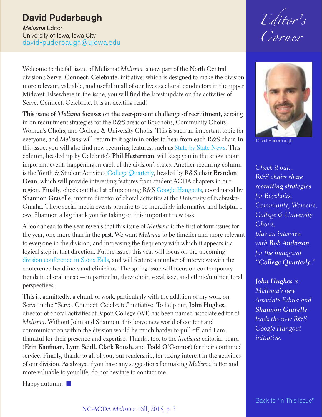### <span id="page-2-0"></span>**David Puderbaugh**

*Melisma* Editor University of Iowa, Iowa City [david-puderbaugh@uiowa.edu](mailto:david-puderbaugh@uiowa.edu)

Welcome to the fall issue of Melisma! *Melisma* is now part of the North Central division's **Serve. Connect. Celebrate.** initiative, which is designed to make the division more relevant, valuable, and useful in all of our lives as choral conductors in the upper Midwest. Elsewhere in the issue, you will find the latest update on the activities of Serve. Connect. Celebrate. It is an exciting read!

**This issue of** *Melisma* **focuses on the ever-present challenge of recruitment,** zeroing in on recruitment strategies for the R&S areas of Boychoirs, Community Choirs, Women's Choirs, and College & University Choirs. This is such an important topic for everyone, and *Melisma* will return to it again in order to hear from each R&S chair. In this issue, you will also find new recurring features, such as [State-by-State](#page-17-0) News. This column, headed up by Celebrate's **Phil Hesterman**, will keep you in the know about important events happening in each of the division's states. Another recurring column is the Youth & Student Activities College [Quarterly,](#page-25-0) headed by R&S chair **Brandon Dean**, which will provide interesting features from student ACDA chapters in our region. Finally, check out the list of upcoming R&S Google [Hangouts,](#page-15-0) coordinated by **Shannon Gravelle**, interim director of choral activities at the University of Nebraska-Omaha. These social media events promise to be incredibly informative and helpful. I owe Shannon a big thank you for taking on this important new task.

A look ahead to the year reveals that this issue of *Melisma* is the first of **four** issues for the year, one more than in the past. We want *Melisma* to be timelier and more relevant to everyone in the division, and increasing the frequency with which it appears is a logical step in that direction. Future issues this year will focus on the upcoming division [conference](#page-5-0) in Sioux Falls, and will feature a number of interviews with the conference headliners and clinicians. The spring issue will focus on contemporary trends in choral music—in particular, show choir, vocal jazz, and ethnic/multicultural perspectives.

This is, admittedly, a chunk of work, particularly with the addition of my work on Serve in the "Serve. Connect. Celebrate." initiative. To help out, **John Hughes,** director of choral activities at Ripon College (WI) has been named associate editor of *Melisma*. Without John and Shannon, this brave new world of content and communication within the division would be much harder to pull off, and I am thankful for their presence and expertise. Thanks, too, to the *Melisma* editorial board (**Erin Kaufman, Lynn Seidl, Clark Roush,** and **Todd O'Connor**) for their continued service. Finally, thanks to all of you, our readership, for taking interest in the activities of our division. As always, if you have any suggestions for making *Melisma* better and more valuable to your life, do not hesitate to contact me.

Happy autumn!  $\Box$ 

*Editor ' s Corner*



David Puderbaugh

*Check it out... R&S chairs share recruiting strategies for Boychoirs, Community, Women's, College & University Choirs, plus an interview with Bob Anderson for the inaugural "College Quarterly."*

*John Hughes is Melisma's new Associate Editor and Shannon Gravelle leads the new R&S Google Hangout initiative.*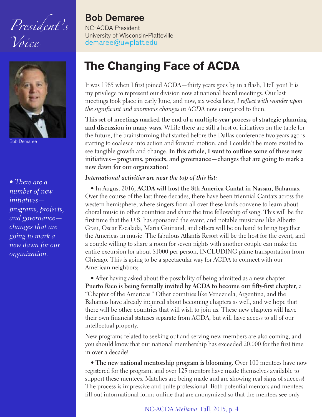<span id="page-3-0"></span>*President' s Voice*



Bob Demaree

*• There are a number of new initiatives programs, projects, and governance changes that are going to mark a new dawn for our organization.*

### **Bob Demaree**

NC-ACDA President University of Wisconsin-Platteville [demaree@uwplatt.edu](mailto:demaree@uwplatt.edu)

### **The Changing Face of ACDA**

It was 1985 when I first joined ACDA—thirty years goes by in a flash, I tell you! It is my privilege to represent our division now at national board meetings. Our last meetings took place in early June, and now, six weeks later, *I reflect with wonder upon the significant and enormous changes in ACDA* now compared to then.

**This set of meetings marked the end of a multiple-year process of strategic planning and discussion in many ways.** While there are still a host of initiatives on the table for the future, the brainstorming that started before the Dallas conference two years ago is starting to coalesce into action and forward motion, and I couldn't be more excited to see tangible growth and change. **In this article, I want to outline some of these new initiatives—programs, projects, and governance—changes that are going to mark a new dawn for our organization!**

#### *International activities are near the top of this list:*

• In August 2016, **ACDA will host the 8th America Cantat in Nassau, Bahamas.** Over the course of the last three decades, there have been triennial Cantats across the western hemisphere, where singers from all over these lands convene to learn about choral music in other countries and share the true fellowship of song. This will be the first time that the U.S. has sponsored the event, and notable musicians like Alberto Grau, Oscar Escalada, Maria Guinand, and others will be on hand to bring together the Americas in music. The fabulous Atlantis Resort will be the host for the event, and a couple willing to share a room for seven nights with another couple can make the entire excursion for about \$1000 per person, INCLUDING plane transportation from Chicago. This is going to be a spectacular way for ACDA to connect with our American neighbors;

• After having asked about the possibility of being admitted as a new chapter, **Puerto Rico is being formally invited by ACDA to become our fifty-first chapter**, a "Chapter of the Americas." Other countries like Venezuela, Argentina, and the Bahamas have already inquired about becoming chapters as well, and we hope that there will be other countries that will wish to join us. These new chapters will have their own financial statuses separate from ACDA, but will have access to all of our intellectual property.

New programs related to seeking out and serving new members are also coming, and you should know that our national membership has exceeded 20,000 for the first time in over a decade!

• **The new national mentorship program is blooming.** Over 100 mentees have now registered for the program, and over 125 mentors have made themselves available to support these mentees. Matches are being made and are showing real signs of success! The process is impressive and quite professional. Both potential mentors and mentees fill out informational forms online that are anonymized so that the mentees see only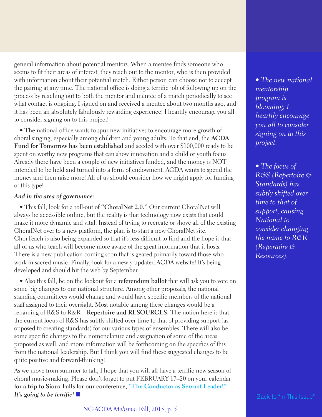general information about potential mentors. When a mentee finds someone who seems to fit their areas of interest, they reach out to the mentor, who is then provided with information about their potential match. Either person can choose not to accept the pairing at any time. The national office is doing a terrific job of following up on the process by reaching out to both the mentor and mentee of a match periodically to see what contact is ongoing. I signed on and received a mentee about two months ago, and it has been an absolutely fabulously rewarding experience! I heartily encourage you all to consider signing on to this project!

• The national office wants to spur new initiatives to encourage more growth of choral singing, especially among children and young adults. To that end, the **ACDA Fund for Tomorrow has been established** and seeded with over \$100,000 ready to be spent on worthy new programs that can show innovation and a child or youth focus. Already there have been a couple of new initiatives funded, and the money is NOT intended to be held and turned into a form of endowment. ACDA wants to spend the money and then raise more! All of us should consider how we might apply for funding of this type!

#### *And in the area of governance:*

• This fall, look for a roll-out of **"ChoralNet 2.0."** Our current ChoralNet will always be accessible online, but the reality is that technology now exists that could make it more dynamic and vital. Instead of trying to recreate or shove all of the existing ChoralNet over to a new platform, the plan is to start a new ChoralNet site. ChorTeach is also being expanded so that it's less difficult to find and the hope is that all of us who teach will become more aware of the great information that it hosts. There is a new publication coming soon that is geared primarily toward those who work in sacred music. Finally, look for a newly updated ACDA website! It's being developed and should hit the web by September.

• Also this fall, be on the lookout for a **referendum ballot** that will ask you to vote on some big changes to our national structure. Among other proposals, the national standing committees would change and would have specific members of the national staff assigned to their oversight. Most notable among these changes would be a renaming of R&S to R&R—**Repertoire and RESOURCES.** The notion here is that the current focus of R&S has subtly shifted over time to that of providing support (as opposed to creating standards) for our various types of ensembles. There will also be some specific changes to the nomenclature and assignation of some of the areas proposed as well, and more information will be forthcoming on the specifics of this from the national leadership. But I think you will find these suggested changes to be quite positive and forward-thinking!

As we move from summer to fall, I hope that you will all have a terrific new season of choral music-making. Please don't forget to put FEBRUARY 17–20 on your calendar **for a trip to Sioux Falls for our conference, "The Conductor as [Servant-Leader!"](#page-5-0)** *It's* **going to be terrific!** n Back to "In This [Issue"](#page-1-0) **Back to "In This Issue"** 

*• The new national mentorship program is blooming; I heartily encourage you all to consider signing on to this project.*

*• The focus of R&S (Repertoire & Standards) has subtly shifted over time to that of support, causing National to consider changing the name to R&R (Repertoire & Resources).*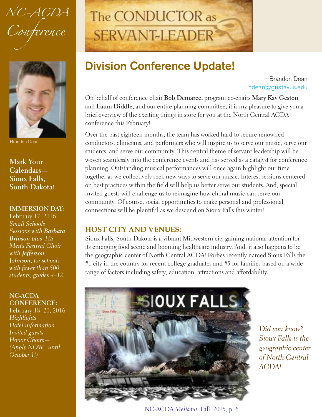<span id="page-5-0"></span>*NC-ACDA Conference*



Brandon Dean

**Mark Your Calendars— Sioux Falls, South Dakota!**

#### **IMMERSION DAY:**

February 17, 2016 *Small Schools Sessions with Barbara Brinson plus HS Men's Festival Choir with Jefferson Johnson, for schools with fewer than 500 students, grades 9–12.*

**NC-ACDA CONFERENCE:**

February 18–20, 2016 *Highlights Hotel information Invited guests Honor Choirs— (Apply NOW, until October 1!)*

## The CONDUCTOR as **SERVANT-LEADER**

### **Division Conference Update!**

—Brandon Dean [bdean@gustavus.edu](mailto:bdean@gustavus.edu)

On behalf of conference chair **Bob Demaree,** program co-chairs **Mary Kay Geston** and **Laura Diddle,** and our entire planning committee, it is my pleasure to give you a brief overview of the exciting things in store for you at the North Central ACDA conference this February!

Over the past eighteen months, the team has worked hard to secure renowned conductors, clinicians, and performers who will inspire us to serve our music, serve our students, and serve our community. This central theme of servant leadership will be woven seamlessly into the conference events and has served as a catalyst for conference planning. Outstanding musical performances will once again highlight our time together as we collectively seek new ways to serve our music. Interest sessions centered on best practices within the field will help us better serve our students. And, special invited guests will challenge us to reimagine how choral music can serve our community. Of course, social opportunities to make personal and professional connections will be plentiful as we descend on Sioux Falls this winter!

### **HOST CITY AND VENUES:**

Sioux Falls, South Dakota is a vibrant Midwestern city gaining national attention for its emerging food scene and booming healthcare industry. And, it also happens to be the geographic center of North Central ACDA! Forbes recently named Sioux Falls the #1 city in the country for recent college graduates and #5 for families based on a wide range of factors including safety, education, attractions and affordability.



*Did you know? Sioux Falls is the geographic center of North Central ACDA!*

NC-ACDA *Melisma*: Fall, 2015, p. 6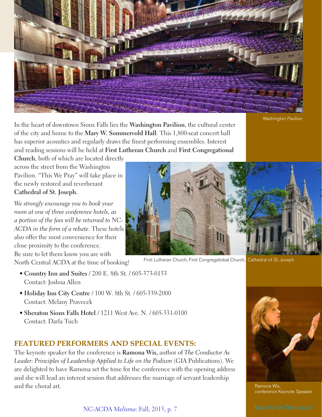

Washington Pavilion

In the heart of downtown Sioux Falls lies the **Washington Pavilion**, the cultural center of the city and home to the **Mary W. Sommervold Hall**. This 1,800-seat concert hall has superior acoustics and regularly draws the finest performing ensembles. Interest and reading sessions will be held at **First Lutheran Church** and **First Congregational**

**Church**, both of which are located directly across the street from the Washington Pavilion. "This We Pray" will take place in the newly restored and reverberant **Cathedral of St. Joseph.**

*We strongly encourage you to book your room at one of three conference hotels, as a portion of the fees will be returned to NC-ACDA in the form of a rebate.* These hotels also offer the most convenience for their close proximity to the conference. Be sure to let them know you are with

North Central ACDA at the time of booking!

- **Country Inn and Suites** / 200 E. 8th St. / 605-373-0153 Contact: Joshua Allen
- **Holiday Inn City Centre** / 100 W. 8th St. / 605-339-2000 Contact: Melany Pravecek
- **Sheraton Sioux Falls Hotel** / 1211 West Ave. N. / 605-331-0100 Contact: Darla Tuch

### **FEATURED PERFORMERS AND SPECIAL EVENTS:**

The keynote speaker for the conference is **Ramona Wis,** author of *The Conductor As Leader: Principles of Leadership Applied to Life on the Podium* (GIA Publications). We are delighted to have Ramona set the tone for the conference with the opening address and she will lead an interest session that addresses the marriage of servant leadership and the choral art.

NC-ACDA *Melisma*: Fall, 2015, p. 7



First Lutheran Church, First Congregatiobal Church, Cathedral of St. Joseph



Ramona Wis, conference Keynote Speaker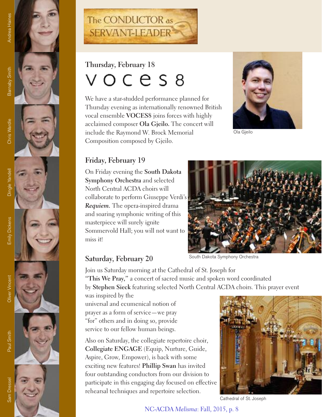









## Thursday, February 18  $OCES8$

We have a star-studded performance planned for Thursday evening as internationally renowned British vocal ensemble **VOCES**8 joins forces with highly acclaimed composer **Ola Gjeilo.** The concert will include the Raymond W. Brock Memorial Composition composed by Gjeilo.



Gjeilo

### **Friday, February 19**

On Friday evening the **South Dakota Symphony Orchestra** and selected North Central ACDA choirs will collaborate to perform Giuseppe Verdi's *Requiem.* The opera-inspired drama and soaring symphonic writing of this masterpiece will surely ignite Sommervold Hall; you will not want to miss it!



### Saturday, February 20

South Dakota Symphony Orchestra

Join us Saturday morning at the Cathedral of St. Joseph for **"This We Pray,"** a concert of sacred music and spoken word coordinated by Stephen Sieck featuring selected North Central ACDA choirs. This prayer event

was inspired by the universal and ecumenical notion of prayer as a form of service—we pray "for" others and in doing so, provide service to our fellow human beings.

Also on Saturday, the collegiate repertoire choir, Collegiate ENGAGE (Equip, Nurture, Guide, Aspire, Grow, Empower), is back with some exciting new features! Phillip Swan has invited four outstanding conductors from our division to participate in this engaging day focused on effective rehearsal techniques and repertoire selection.



Cathedral of St. Joseph .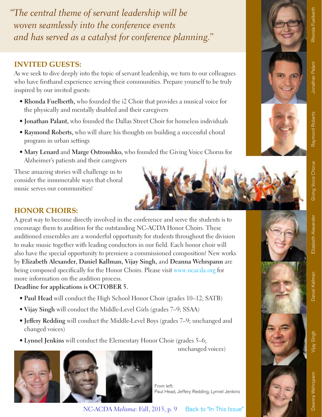*"The central theme of servant leadership will be woven seamlessly into the conference events and has served as a catalyst for conference planning."*

### **INVITED GUESTS:**

As we seek to dive deeply into the topic of servant leadership, we turn to our colleagues who have firsthand experience serving their communities. Prepare yourself to be truly inspired by our invited guests:

- **Rhonda Fuelberth,** who founded the i2 Choir that provides a musical voice for the physically and mentally disabled and their caregivers
- **Jonathan Palant,** who founded the Dallas Street Choir for homeless individuals
- **Raymond Roberts,** who will share his thoughts on building a successful choral program in urban settings
- **Mary Lenard** and **Marge Ostroushko,** who founded the Giving Voice Chorus for Alzheimer's patients and their caregivers

These amazing stories will challenge us to consider the innumerable ways that choral music serves our communities!

### **HONOR CHOIRS:**

A great way to become directly involved in the conference and serve the students is to encourage them to audition for the outstanding NC-ACDA Honor Choirs. These auditioned ensembles are a wonderful opportunity for students throughout the division to make music together with leading conductors in our field. Each honor choir will also have the special opportunity to premiere a commissioned composition! New works by **Elizabeth Alexander, Daniel Kallman, Vijay Singh,** and **Deanna Wehrspann** are being composed specifically for the Honor Choirs. Please visit [www.ncacda.org](http://www.ncacda.org) for more information on the audition process.

### **Deadline for applications is OCTOBER 5.**

- **Paul Head** will conduct the High School Honor Choir (grades 10–12; SATB)
- **Vijay Singh** will conduct the Middle-Level Girls (grades 7–9; SSAA)
- **Jeffery Redding** will conduct the Middle-Level Boys (grades 7–9; unchanged and changed voices)
- **Lynnel Jenkins** will conduct the Elementary Honor Choir (grades 5–6;

unchanged voices)

From left: Paul Head, Jeffery Redding, Lynnel Jenkins

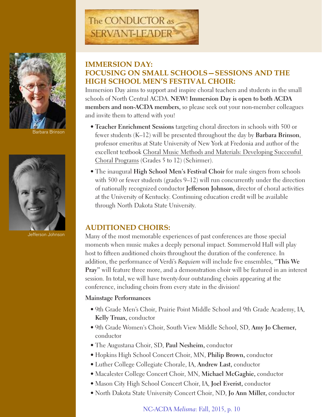

ara Brinson



Jefferson Johnson

## The CONDUCTOR as SERVANT-LEADER®

### **IMMERSION DAY: FOCUSING ON SMALL SCHOOLS—SESSIONS AND THE HIGH SCHOOL MEN'S FESTIVAL CHOIR:**

Immersion Day aims to support and inspire choral teachers and students in the small schools of North Central ACDA. **NEW! Immersion Day is open to both ACDA members and non-ACDA members,** so please seek out your non-member colleagues and invite them to attend with you!

- **Teacher Enrichment Sessions** targeting choral directors in schools with 500 or fewer students (K–12) will be presented throughout the day by **Barbara Brinson**, professor emeritus at State University of New York at Fredonia and author of the excellent textbook Choral Music Methods and Materials: Developing Successful Choral Programs (Grades 5 to 12) (Schirmer).
- The inaugural **High School Men's Festival Choir** for male singers from schools with 500 or fewer students (grades 9–12) will run concurrently under the direction of nationally recognized conductor **Jefferson Johnson,** director of choral activities at the University of Kentucky. Continuing education credit will be available through North Dakota State University.

### **AUDITIONED CHOIRS:**

Many of the most memorable experiences of past conferences are those special moments when music makes a deeply personal impact. Sommervold Hall will play host to fifteen auditioned choirs throughout the duration of the conference. In addition, the performance of Verdi's *Requiem* will include five ensembles, **"This We Pray"** will feature three more, and a demonstration choir will be featured in an interest session. In total, we will have twenty-four outstanding choirs appearing at the conference, including choirs from every state in the division!

#### **Mainstage Performances**

- 9th Grade Men's Choir, Prairie Point Middle School and 9th Grade Academy, IA, **Kelly Truax,** conductor
- 9th Grade Women's Choir, South View Middle School, SD, **Amy Jo Cherner,** conductor
- The Augustana Choir, SD, **Paul Nesheim,** conductor
- Hopkins High School Concert Choir, MN, **Philip Brown,** conductor
- Luther College Collegiate Chorale, IA, **Andrew Last,** conductor
- Macalester College Concert Choir, MN, **Michael McGaghie,** conductor
- Mason City High School Concert Choir, IA, **Joel Everist,** conductor
- North Dakota State University Concert Choir, ND, **Jo Ann Miller,** conductor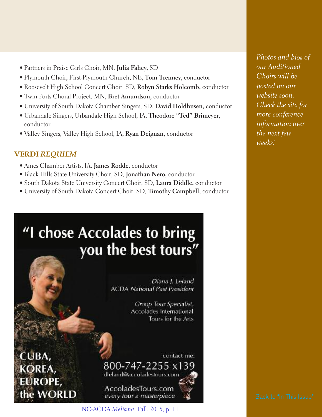- Partners in Praise Girls Choir, MN, **Julia Fahey,** SD
- Plymouth Choir, First-Plymouth Church, NE, **Tom Trenney,** conductor
- Roosevelt High School Concert Choir, SD, **Robyn Starks Holcomb,** conductor
- Twin Ports Choral Project, MN, **Bret Amundson,** conductor
- University of South Dakota Chamber Singers, SD, **David Holdhusen,** conductor
- Urbandale Singers, Urbandale High School, IA, **Theodore "Ted" Brimeyer,** conductor
- Valley Singers, Valley High School, IA, **Ryan Deignan,** conductor

### **VERDI** *REQUIEM*

- Ames Chamber Artists, IA, **James Rodde,** conductor
- Black Hills State University Choir, SD, **Jonathan Nero,** conductor
- South Dakota State University Concert Choir, SD, **Laura Diddle,** conductor
- University of South Dakota Concert Choir, SD, **Timothy Campbell,** conductor

## "I chose Accolades to bring you the best tours"

Diana J. Leland **ACDA** National Past President

> Group Tour Specialist, Accolades International Tours for the Arts

CUBA ROPE, ne WORLD

contact me: 800-747-2255 x139

dleland@accoladestours.com

AccoladesTours.com every tour a masterpiece

NC-ACDA *Melisma*: Fall, 2015, p. 11

*Photos and bios of our Auditioned Choirs will be posted on our website soon. Check the site for more conference information over the next few weeks!*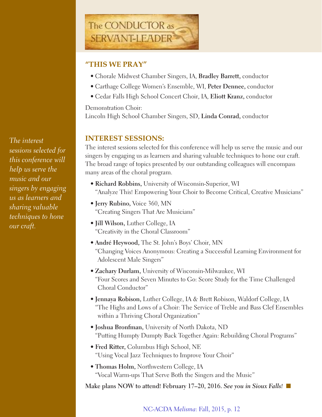

### **"THIS WE PRAY"**

- Chorale Midwest Chamber Singers, IA, **Bradley Barrett,** conductor
- Carthage College Women's Ensemble, WI, **Peter Dennee,** conductor
- Cedar Falls High School Concert Choir, IA, **Eliott Kranz,** conductor

Demonstration Choir:

Lincoln High School Chamber Singers, SD, **Linda Conrad,** conductor

### **INTEREST SESSIONS:**

The interest sessions selected for this conference will help us serve the music and our singers by engaging us as learners and sharing valuable techniques to hone our craft. The broad range of topics presented by our outstanding colleagues will encompass many areas of the choral program.

- **Richard Robbins,** University of Wisconsin-Superior, WI "Analyze This! Empowering Your Choir to Become Critical, Creative Musicians"
- **Jerry Rubino,** Voice 360, MN "Creating Singers That Are Musicians"
- **Jill Wilson,** Luther College, IA "Creativity in the Choral Classroom"
- **André Heywood,** The St. John's Boys' Choir, MN "Changing Voices Anonymous: Creating a Successful Learning Environment for Adolescent Male Singers"
- **Zachary Durlam,** University of Wisconsin-Milwaukee, WI "Four Scores and Seven Minutes to Go: Score Study for the Time Challenged Choral Conductor"
- **Jennaya Robison,** Luther College, IA & Brett Robison, Waldorf College, IA "The Highs and Lows of a Choir: The Service of Treble and Bass Clef Ensembles within a Thriving Choral Organization"
- **Joshua Bronfman,** University of North Dakota, ND "Putting Humpty Dumpty Back Together Again: Rebuilding Choral Programs"
- **Fred Ritter,** Columbus High School, NE "Using Vocal Jazz Techniques to Improve Your Choir"
- **Thomas Holm,** Northwestern College, IA "Vocal Warm-ups That Serve Both the Singers and the Music"

**Make plans NOW to attend! February 17–20, 2016.** *See you in Sioux Falls!* n

*The interest sessions selected for this conference will help us serve the music and our singers by engaging us as learners and sharing valuable techniques to hone our craft.*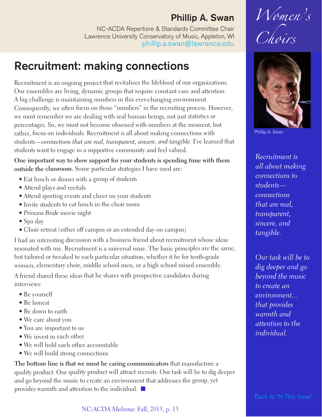### **Phillip A. Swan**

NC-ACDA Repertoire & Standards Committee Chair Lawrence University Conservatory of Music, Appleton, WI [phillip.a.swan@lawrence.edu](mailto:phillip.a.swan@lawrence.edu)

### <span id="page-12-0"></span>**Recruitment: making connections**

Recruitment is an ongoing project that revitalizes the lifeblood of our organizations. Our ensembles are living, dynamic groups that require constant care and attention. <sup>A</sup> big challenge is maintaining numbers in this ever-changing environment. Consequently, we often focus on those "numbers" in the recruiting process. However, we must remember we are dealing with real human beings, not just statistics or percentages. So, we must not become obsessed with numbers at the moment, but rather, focus on individuals. Recruitment is all about making connections with students—*connections that are real, transparent, sincere, and tangible.* I've learned that students want to engage in <sup>a</sup> supportive community and feel valued.

**One important way to show suppor<sup>t</sup> for your students is spending time with them outside the classroom.** Some particular strategies <sup>I</sup> have used are:

- Eat lunch or dinner with <sup>a</sup> group of students
- Attend <sup>p</sup>lays and recitals
- Attend sporting events and cheer on your students
- Invite students to eat lunch in the choir room
- *Princess Bride* movie night
- Spa day
- Choir retreat (either off campus or an extended day on campus)

<sup>I</sup> had an interesting discussion with <sup>a</sup> business friend about recruitment whose ideas resonated with me. Recruitment is <sup>a</sup> universal issue. The basic principles are the same, but tailored or tweaked to each particular situation, whether it be for tenth-grade women, elementary choir, middle school men, or <sup>a</sup> high school mixed ensemble.

A friend shared these ideas that he shares with prospective candidates during interviews:

- Be yourself
- Be honest
- Be down to earth
- We care about you
- You are important to us
- We invest in each other
- We will hold each other accountable
- We will build strong connections

**The bottom line is that we must be caring communicators** that manufacture <sup>a</sup> quality product. Our quality product will attract recruits. Our task will be to dig deeper and go beyond the music to create an environment that addresses the group, ye<sup>t</sup> provides warmth and attention to the individual.  $\blacksquare$ 





Phillip A. Swan

*Recruitment is all about making connections to students connections that are real, transparent, sincere, and tangible.*

*Our task will be to dig deeper and go beyond the music to create an environment... that provides warmth and attention to the individual.*

Back to "In This [Issue"](#page-1-0)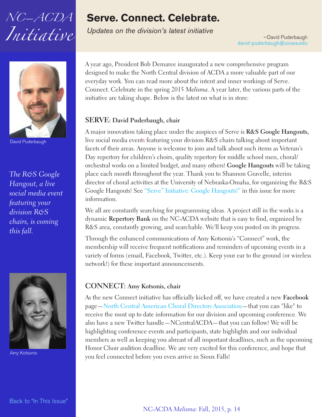## <span id="page-13-0"></span>*NC*—*ACDA Initiative*

### **Serve. Connect. Celebrate.**

*Updates on the division's latest initiative*

—David Puderbaugh [david-puderbaugh@uiowa.edu](mailto:david-puderbaugh@uiowa.edu)



David Puderbaugh

*The R&S Google Hangout, a live social media event featuring your division R&S chairs, is coming this fall.*



Amy Kotsonis

A year ago, President Bob Demaree inaugurated a new comprehensive program designed to make the North Central division of ACDA a more valuable part of our everyday work. You can read more about the intent and inner workings of Serve. Connect. Celebrate in the spring 2015 *Melisma*. A year later, the various parts of the initiative are taking shape. Below is the latest on what is in store:

### **SERVE: David Puderbaugh, chair**

A major innovation taking place under the auspices of Serve is **R&S Google Hangouts,** live social media events featuring your division R&S chairs talking about important facets of their areas. Anyone is welcome to join and talk about such items as Veteran's Day repertory for children's choirs, quality repertory for middle school men, choral/ orchestral works on a limited budget, and many others! **Google Hangouts** will be taking place each month throughout the year. Thank you to Shannon Gravelle, interim director of choral activities at the University of Nebraska-Omaha, for organizing the R&S Google Hangouts! See "Serve" Initiative: Google [Hangouts!"](#page-15-0) in this issue for more information.

We all are constantly searching for programming ideas. A project still in the works is a dynamic **Repertory Bank** on the NC-ACDA website that is easy to find, organized by R&S area, constantly growing, and searchable. We'll keep you posted on its progress.

Through the enhanced communications of Amy Kotsonis's "Connect" work, the membership will receive frequent notifications and reminders of upcoming events in a variety of forms (email, Facebook, Twitter, etc.). Keep your ear to the ground (or wireless network!) for these important announcements.

### **CONNECT: Amy Kotsonis, chair**

As the new Connect initiative has officially kicked off, we have created a new **Facebook** page—North Central American Choral Directors [Association—](https://www.facebook.com/North-Central-American-Choral-Directors-Association-101715626838482/timeline/)that you can "like" to receive the most up to date information for our division and upcoming conference. We also have a new Twitter handle—NCentralACDA—that you can follow! We will be highlighting conference events and participants, state highlights and our individual members as well as keeping you abreast of all important deadlines, such as the upcoming Honor Choir audition deadline. We are very excited for this conference, and hope that you feel connected before you even arrive in Sioux Falls!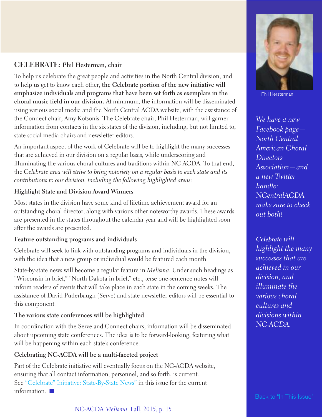### **CELEBRATE: Phil Hesterman, chair**

To help us celebrate the great people and activities in the North Central division, and to help us get to know each other, **the Celebrate portion of the new initiative will emphasize individuals and programs that have been set forth as exemplars in the choral music field in our division.** At minimum, the information will be disseminated using various social media and the North Central ACDA website, with the assistance of the Connect chair, Amy Kotsonis. The Celebrate chair, Phil Hesterman, will garner information from contacts in the six states of the division, including, but not limited to, state social media chairs and newsletter editors.

An important aspect of the work of Celebrate will be to highlight the many successes that are achieved in our division on a regular basis, while underscoring and illuminating the various choral cultures and traditions within NC-ACDA. To that end, the *Celebrate area will strive to bring notoriety on a regular basis to each state and its contributions to our division, including the following highlighted areas:*

### **Highlight State and Division Award Winners**

Most states in the division have some kind of lifetime achievement award for an outstanding choral director, along with various other noteworthy awards. These awards are presented in the states throughout the calendar year and will be highlighted soon after the awards are presented.

### **Feature outstanding programs and individuals**

Celebrate will seek to link with outstanding programs and individuals in the division, with the idea that a new group or individual would be featured each month.

State-by-state news will become a regular feature in *Melisma*. Under such headings as "Wisconsin in brief," "North Dakota in brief," etc., terse one-sentence notes will inform readers of events that will take place in each state in the coming weeks. The assistance of David Puderbaugh (Serve) and state newsletter editors will be essential to this component.

### **The various state conferences will be highlighted**

In coordination with the Serve and Connect chairs, information will be disseminated about upcoming state conferences. The idea is to be forward-looking, featuring what will be happening within each state's conference.

### **Celebrating NC-ACDA will be a multi-faceted project**

Part of the Celebrate initiative will eventually focus on the NC-ACDA website, ensuring that all contact information, personnel, and so forth, is current. See "Celebrate" Initiative: [State-By-State](#page-17-0) News" in this issue for the current information.  $\blacksquare$ 



Phil Hersterman

*We have a new Facebook page— North Central American Choral Directors Association—and a new Twitter handle: NCentralACDA make sure to check out both!*

*Celebrate will highlight the many successes that are achieved in our division, and illuminate the various choral cultures and divisions within NC-ACDA.*

Back to "In This [Issue"](#page-1-0)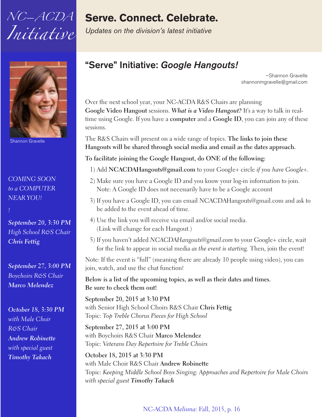<span id="page-15-0"></span>



Shannon Gravelle

*COMING SOON to a COMPUTER NEAR YOU!*

*September 20, 3:30 PM High School R&S Chair Chris Fettig*

*September 27, 3:00 PM Boychoirs R&S Chair Marco Melendez*

*October 18, 3:30 PM with Male Choir R&S Chair Andrew Robinette with special guest Timothy Takach*

### **Serve. Connect. Celebrate.**

*Updates on the division's latest initiative*

### **"Serve" Initiative:** *Google Hangouts!*

–Shannon Gravelle shannonmgravelle@gmail.com

Over the next school year, your NC-ACDA R&S Chairs are planning **Google Video Hangout** sessions. *What is a Video Hangout?* It's a way to talk in realtime using Google. If you have a **computer** and a **Google ID**, you can join any of these sessions.

The R&S Chairs will present on a wide range of topics. **The links to join these Hangouts will be shared through social media and email as the dates approach.**

**To facilitate joining the Google Hangout, do ONE of the following:**

- 1) Add **NCACDAHangouts@gmail.com** to your Google+ circle *if you have Google+.*
- 2) Make sure you have a Google ID and you know your log-in information to join. Note: A Google ID does not necessarily have to be a Google account
- 3) If you have a Google ID, you can email NCACDAHangouts@gmail.com and ask to be added to the event ahead of time.
- 4) Use the link you will receive via email and/or social media. (Link will change for each Hangout.)
- 5) If you haven't added *NCACDAHangouts@gmail.com* to your Google+ circle, wait for the link to appear in social media *as the event is starting.* Then, join the event!

Note: If the event is "full" (meaning there are already 10 people using video), you can join, watch, and use the chat function!

**Below is a list of the upcoming topics, as well as their dates and times. Be sure to check them out!**

**September 20, 2015 at 3:30 PM** with Senior High School Choirs R&S Chair **Chris Fettig** Topic: *Top Treble Chorus Pieces for High School*

**September 27, 2015 at 3:00 PM** with Boychoirs R&S Chair **Marco Melendez** Topic: *Veterans Day Repertoire for Treble Choirs*

**October 18, 2015 at 3:30 PM** with Male Choir R&S Chair **Andrew Robinette** Topic: *Keeping Middle School Boys Singing: Approaches and Repertoire for Male Choirs with special guest Timothy Takach*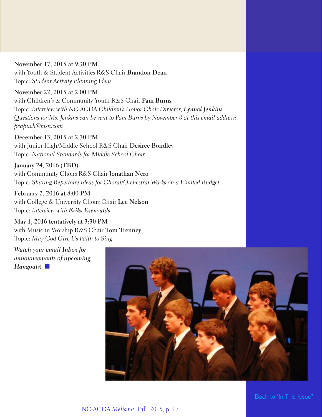### **November 17, 2015 at 9:30 PM** with Youth & Student Activities R&S Chair **Brandon Dean** Topic: *Student Activity Planning Ideas*

**November 22, 2015 at 2:00 PM** with Children's & Community Youth R&S Chair **Pam Burns** Topic: *Interview with NC-ACDA Children's Honor Choir Director, Lynnel Jenkins Questions for Ms. Jenkins can be sent to Pam Burns by November 8 at this email address: pcapuch@msn.com*

**December 13, 2015 at 2:30 PM** with Junior High/Middle School R&S Chair **Desiree Bondley** Topic: *National Standards for Middle School Choir*

**January 24, 2016 (TBD)** with Community Choirs R&S Chair **Jonathan Nero** Topic: *Sharing Repertoire Ideas for Choral/Orchestral Works on a Limited Budget*

**February 2, 2016 at 8:00 PM** with College & University Choirs Chair **Lee Nelson** Topic: *Interview with Eriks Esenvalds*

**May 1, 2016 tentatively at 3:30 PM** with Music in Worship R&S Chair **Tom Trenney** Topic: *May God Give Us Faith to Sing*

*Watch your email Inbox for announcements of upcoming* Hangouts!

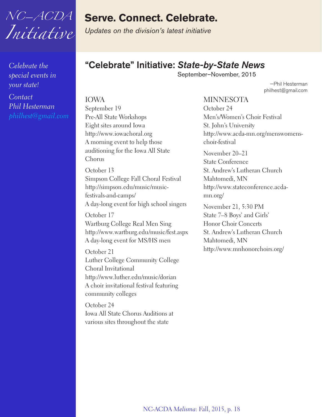<span id="page-17-0"></span>

*Celebrate the special events in your state!*

*Contact Phil Hesterman [philhest@gmail.com](mailto:philhest@gmail.com)*

### **Serve. Connect. Celebrate.**

*Updates on the division's latest initiative*

### **"Celebrate" Initiative:** *State-by-State News*

September–November, 2015

—Phil Hesterman philhest@gmail.com

IOWA September 19 Pre-All State Workshops Eight sites around Iowa http://www.iowachoral.org A morning event to help those auditioning for the Iowa All State Chorus

October 13 Simpson College Fall Choral Festival http://simpson.edu/music/musicfestivals-and-camps/ A day-long event for high school singers

October 17 Wartburg College Real Men Sing http://www.wartburg.edu/music/fest.aspx A day-long event for MS/HS men

October 21 Luther College Community College Choral Invitational http://www.luther.edu/music/dorian A choir invitational festival featuring community colleges

October 24 Iowa All State Chorus Auditions at various sites throughout the state

MINNESOTA October 24 Men's/Women's Choir Festival St. John's University http://www.acda-mn.org/menswomenschoir-festival

November 20–21 State Conference St. Andrew's Lutheran Church Mahtomedi, MN http://www.stateconference.acdamn.org/

November 21, 5:30 PM State 7–8 Boys' and Girls' Honor Choir Concerts St. Andrew's Lutheran Church Mahtomedi, MN http://www.mnhonorchoirs.org/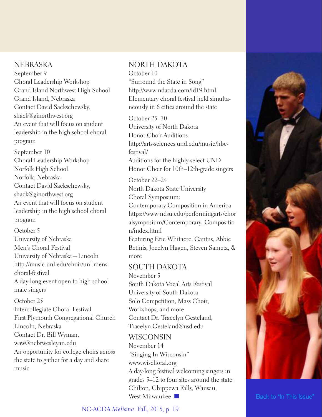### **NEBRASKA**

September 9 Choral Leadership Workshop Grand Island Northwest High School Grand Island, Nebraska Contact David Sackschewsky, shack@ginorthwest.org An event that will focus on student leadership in the high school choral program

September 10 Choral Leadership Workshop Norfolk High School Norfolk, Nebraska Contact David Sackschewsky, shack@ginorthwest.org An event that will focus on student leadership in the high school choral program

October 5 University of Nebraska Men's Choral Festival University of Nebraska—Lincoln http://music.unl.edu/choir/unl-menschoral-festival A day-long event open to high school male singers

#### October 25

Intercollegiate Choral Festival First Plymouth Congregational Church Lincoln, Nebraska Contact Dr. Bill Wyman, waw@nebrwesleyan.edu An opportunity for college choirs across the state to gather for a day and share music

### NORTH DAKOTA

October 10 "Surround the State in Song"

http://www.ndacda.com/id19.html Elementary choral festival held simultaneously in 6 cities around the state

October 25–30 University of North Dakota Honor Choir Auditions http://arts-sciences.und.edu/music/hbcfestival/

Auditions for the highly select UND Honor Choir for 10th–12th-grade singers

October 22–24 North Dakota State University Choral Symposium:

Contemporary Composition in America https://www.ndsu.edu/performingarts/chor alsymposium/Contemporary\_Compositio n/index.html

Featuring Eric Whitacre, Cantus, Abbie Betinis, Jocelyn Hagen, Steven Sametz, & more

### SOUTH DAKOTA

November 5 South Dakota Vocal Arts Festival University of South Dakota Solo Competition, Mass Choir, Workshops, and more Contact Dr. Tracelyn Gesteland,

Tracelyn.Gesteland@usd.edu

### WISCONSIN

November 14 "Singing In Wisconsin" www.wischoral.org A day-long festival welcoming singers in grades 5–12 to four sites around the state: Chilton, Chippewa Falls, Wausau, West Milwaukee  $\Box$  Back to "In This [Issue"](#page-1-0)

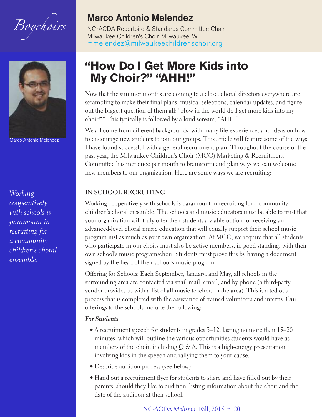<span id="page-19-0"></span>



Marco Antonio Melendez

*Working cooperatively with schools is paramount in recruiting for a community children's choral ensemble.*

### **Marco Antonio Melendez**

NC-ACDA Repertoire & Standards Committee Chair Milwaukee Children's Choir, Milwaukee, WI [mmelendez@milwaukeechildrenschoir.org](mailto:mmelendez@milwaukeechildrenschoir.org)

### **"How Do I Get More Kids into My Choir?" "AHH!"**

Now that the summer months are coming to a close, choral directors everywhere are scrambling to make their final plans, musical selections, calendar updates, and figure out the biggest question of them all: "How in the world do I get more kids into my choir!?" This typically is followed by a loud scream, "AHH!"

We all come from different backgrounds, with many life experiences and ideas on how to encourage new students to join our groups. This article will feature some of the ways I have found successful with a general recruitment plan. Throughout the course of the past year, the Milwaukee Children's Choir (MCC) Marketing & Recruitment Committee has met once per month to brainstorm and plan ways we can welcome new members to our organization. Here are some ways we are recruiting:

#### **IN-SCHOOL RECRUITING**

Working cooperatively with schools is paramount in recruiting for a community children's choral ensemble. The schools and music educators must be able to trust that your organization will truly offer their students a viable option for receiving an advanced-level choral music education that will equally support their school music program just as much as your own organization. At MCC, we require that all students who participate in our choirs must also be active members, in good standing, with their own school's music program/choir. Students must prove this by having a document signed by the head of their school's music program.

Offering for Schools: Each September, January, and May, all schools in the surrounding area are contacted via snail mail, email, and by phone (a third-party vendor provides us with a list of all music teachers in the area). This is a tedious process that is completed with the assistance of trained volunteers and interns. Our offerings to the schools include the following:

#### *For Students*

- A recruitment speech for students in grades 3–12, lasting no more than 15–20 minutes, which will outline the various opportunities students would have as members of the choir, including  $Q & A$ . This is a high-energy presentation involving kids in the speech and rallying them to your cause.
- Describe audition process (see below).
- Hand out a recruitment flyer for students to share and have filled out by their parents, should they like to audition, listing information about the choir and the date of the audition at their school.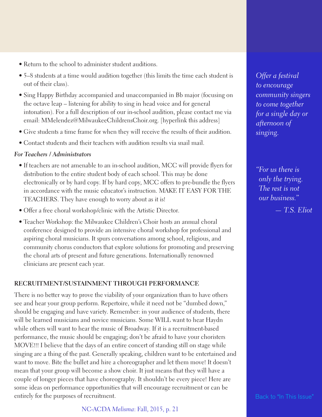- Return to the school to administer student auditions.
- 5–8 students at a time would audition together (this limits the time each student is out of their class).
- Sing Happy Birthday accompanied and unaccompanied in Bb major (focusing on the octave leap – listening for ability to sing in head voice and for general intonation). For a full description of our in-school audition, please contact me via email: MMelendez@MilwaukeeChildrensChoir.org. [hyperlink this address]
- Give students a time frame for when they will receive the results of their audition.
- Contact students and their teachers with audition results via snail mail.

#### *For Teachers / Administrators*

- If teachers are not amenable to an in-school audition, MCC will provide flyers for distribution to the entire student body of each school. This may be done electronically or by hard copy. If by hard copy, MCC offers to pre-bundle the flyers in accordance with the music educator's instruction. MAKE IT EASY FOR THE TEACHERS. They have enough to worry about as it is!
- Offer a free choral workshop/clinic with the Artistic Director.
- Teacher Workshop: the Milwaukee Children's Choir hosts an annual choral conference designed to provide an intensive choral workshop for professional and aspiring choral musicians. It spurs conversations among school, religious, and community chorus conductors that explore solutions for promoting and preserving the choral arts of present and future generations. Internationally renowned clinicians are present each year.

### **RECRUITMENT/SUSTAINMENT THROUGH PERFORMANCE**

There is no better way to prove the viability of your organization than to have others see and hear your group perform. Repertoire, while it need not be "dumbed down," should be engaging and have variety. Remember: in your audience of students, there will be learned musicians and novice musicians. Some WILL want to hear Haydn while others will want to hear the music of Broadway. If it is a recruitment-based performance, the music should be engaging; don't be afraid to have your choristers MOVE!!! I believe that the days of an entire concert of standing still on stage while singing are a thing of the past. Generally speaking, children want to be entertained and want to move. Bite the bullet and hire a choreographer and let them move! It doesn't mean that your group will become a show choir. It just means that they will have a couple of longer pieces that have choreography. It shouldn't be every piece! Here are some ideas on performance opportunities that will encourage recruitment or can be entirely for the purposes of recruitment.

NC-ACDA *Melisma*: Fall, 2015, p. 21

*Offer a festival to encourage community singers to come together for a single day or afternoon of singing.*

*"For us there is only the trying. The rest is not our business." — T.S. Eliot*

Back to "In This [Issue"](#page-1-0)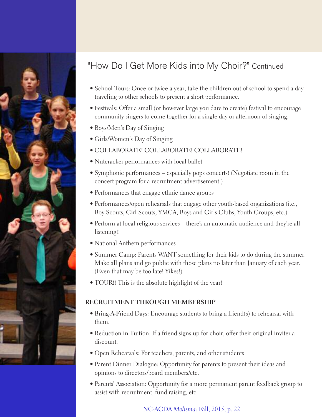

### "How Do I Get More Kids into My Choir?" Continued

- School Tours: Once or twice a year, take the children out of school to spend a day traveling to other schools to present a short performance.
- Festivals: Offer a small (or however large you dare to create) festival to encourage community singers to come together for a single day or afternoon of singing.
- Boys/Men's Day of Singing
- Girls/Women's Day of Singing
- COLLABORATE! COLLABORATE! COLLABORATE!
- Nutcracker performances with local ballet
- Symphonic performances especially pops concerts! (Negotiate room in the concert program for a recruitment advertisement.)
- Performances that engage ethnic dance groups
- Performances/open rehearsals that engage other youth-based organizations (i.e., Boy Scouts, Girl Scouts, YMCA, Boys and Girls Clubs, Youth Groups, etc.)
- Perform at local religious services there's an automatic audience and they're all listening!!
- National Anthem performances
- Summer Camp: Parents WANT something for their kids to do during the summer! Make all plans and go public with those plans no later than January of each year. (Even that may be too late! Yikes!)
- TOUR!! This is the absolute highlight of the year!

### **RECRUITMENT THROUGH MEMBERSHIP**

- Bring-A-Friend Days: Encourage students to bring a friend(s) to rehearsal with them.
- Reduction in Tuition: If a friend signs up for choir, offer their original inviter a discount.
- Open Rehearsals: For teachers, parents, and other students
- Parent Dinner Dialogue: Opportunity for parents to present their ideas and opinions to directors/board members/etc.
- Parents' Association: Opportunity for a more permanent parent feedback group to assist with recruitment, fund raising, etc.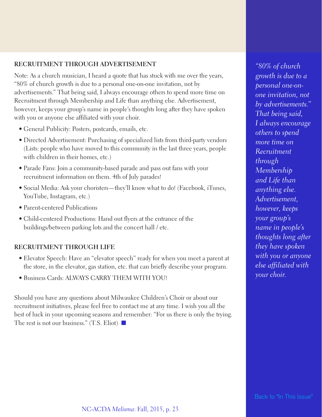#### **RECRUITMENT THROUGH ADVERTISEMENT**

Note: As a church musician, I heard a quote that has stuck with me over the years, "80% of church growth is due to a personal one-on-one invitation, not by advertisements." That being said, I always encourage others to spend more time on Recruitment through Membership and Life than anything else. Advertisement, however, keeps your group's name in people's thoughts long after they have spoken with you or anyone else affiliated with your choir.

- General Publicity: Posters, postcards, emails, etc.
- Directed Advertisement: Purchasing of specialized lists from third-party vendors (Lists: people who have moved to this community in the last three years, people with children in their homes, etc.)
- Parade Fans: Join a community-based parade and pass out fans with your recruitment information on them. 4th of July parades!
- Social Media: Ask your choristers—they'll know what to do! (Facebook, iTunes, YouTube, Instagram, etc.)
- Parent-centered Publications
- Child-centered Productions: Hand out flyers at the entrance of the buildings/between parking lots and the concert hall / etc.

#### **RECRUITMENT THROUGH LIFE**

- Elevator Speech: Have an "elevator speech" ready for when you meet a parent at the store, in the elevator, gas station, etc. that can briefly describe your program.
- Business Cards: ALWAYS CARRY THEM WITH YOU!

Should you have any questions about Milwaukee Children's Choir or about our recruitment initiatives, please feel free to contact me at any time. I wish you all the best of luck in your upcoming seasons and remember: "For us there is only the trying. The rest is not our business." (T.S. Eliot)  $\blacksquare$ 

*"80% of church growth is due to a personal one-onone invitation, not by advertisements." That being said, I always encourage others to spend more time on Recruitment through Membership and Life than anything else. Advertisement, however, keeps your group's name in people's thoughts long after they have spoken with you or anyone else affiliated with your choir.*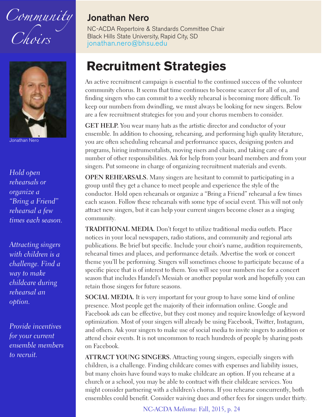<span id="page-23-0"></span>



Jonathan Nero

*Hold open rehearsals or organize a "Bring a Friend" rehearsal a few times each season.*

*Attracting singers with children is a challenge. Find a way to make childcare during rehearsal an option.*

*Provide incentives for your current ensemble members to recruit.*

### **Jonathan Nero**

NC-ACDA Repertoire & Standards Committee Chair Black Hills State University, Rapid City, SD [jonathan.nero@bhsu.edu](mailto:jonathan.nero@bhsu.edu)

### **Recruitment Strategies**

An active recruitment campaign is essential to the continued success of the volunteer community chorus. It seems that time continues to become scarcer for all of us, and finding singers who can commit to a weekly rehearsal is becoming more difficult. To keep our numbers from dwindling, we must always be looking for new singers. Below are a few recruitment strategies for you and your chorus members to consider.

**GET HELP.** You wear many hats as the artistic director and conductor of your ensemble. In addition to choosing, rehearsing, and performing high quality literature, you are often scheduling rehearsal and performance spaces, designing posters and programs, hiring instrumentalists, moving risers and chairs, and taking care of a number of other responsibilities. Ask for help from your board members and from your singers. Put someone in charge of organizing recruitment materials and events.

**OPEN REHEARSALS.** Many singers are hesitant to commit to participating in a group until they get a chance to meet people and experience the style of the conductor. Hold open rehearsals or organize a "Bring a Friend" rehearsal a few times each season. Follow these rehearsals with some type of social event. This will not only attract new singers, but it can help your current singers become closer as a singing community.

**TRADITIONAL MEDIA.** Don't forget to utilize traditional media outlets. Place notices in your local newspapers, radio stations, and community and regional arts publications. Be brief but specific. Include your choir's name, audition requirements, rehearsal times and places, and performance details. Advertise the work or concert theme you'll be performing. Singers will sometimes choose to participate because of a specific piece that is of interest to them. You will see your numbers rise for a concert season that includes Handel's Messiah or another popular work and hopefully you can retain those singers for future seasons.

**SOCIAL MEDIA.** It is very important for your group to have some kind of online presence. Most people get the majority of their information online. Google and Facebook ads can be effective, but they cost money and require knowledge of keyword optimization. Most of your singers will already be using Facebook, Twitter, Instagram, and others. Ask your singers to make use of social media to invite singers to audition or attend choir events. It is not uncommon to reach hundreds of people by sharing posts on Facebook.

**ATTRACT YOUNG SINGERS.** Attracting young singers, especially singers with children, is a challenge. Finding childcare comes with expenses and liability issues, but many choirs have found ways to make childcare an option. If you rehearse at a church or a school, you may be able to contract with their childcare services. You might consider partnering with a children's chorus. If you rehearse concurrently, both ensembles could benefit. Consider waiving dues and other fees for singers under thirty.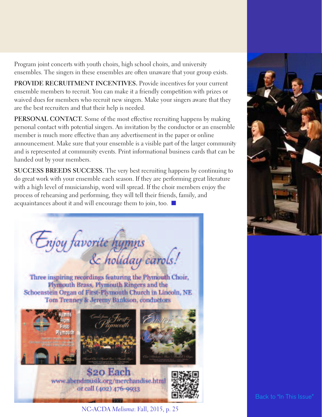Program joint concerts with youth choirs, high school choirs, and university ensembles. The singers in these ensembles are often unaware that your group exists.

**PROVIDE RECRUITMENT INCENTIVES.** Provide incentives for your current ensemble members to recruit. You can make it a friendly competition with prizes or waived dues for members who recruit new singers. Make your singers aware that they are the best recruiters and that their help is needed.

**PERSONAL CONTACT.** Some of the most effective recruiting happens by making personal contact with potential singers. An invitation by the conductor or an ensemble member is much more effective than any advertisement in the paper or online announcement. Make sure that your ensemble is a visible part of the larger community and is represented at community events. Print informational business cards that can be handed out by your members.

**SUCCESS BREEDS SUCCESS.** The very best recruiting happens by continuing to do great work with your ensemble each season. If they are performing great literature with a high level of musicianship, word will spread. If the choir members enjoy the process of rehearsing and performing, they will tell their friends, family, and acquaintances about it and will encourage them to join, too.  $\blacksquare$ 

Enjoy favorite hymns<br>& holiday carols!

Three inspiring recordings featuring the Plymouth Choir, Plymouth Brass, Plymouth Ringers and the Schoenstein Organ of First-Plymouth Church in Lincoln, NE Tom Trenney & Jeremy Bankson, conductors



www.abendmusik.org/merchandise.html or call (402) 476-9933





Back to "In This [Issue"](#page-1-0)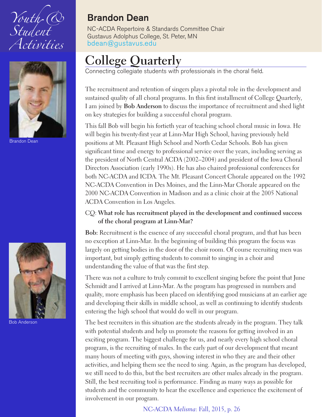<span id="page-25-0"></span>



Brandon Dean



Bob Anderson

### **Brandon Dean**

NC-ACDA Repertoire & Standards Committee Chair Gustavus Adolphus College, St. Peter, MN [bdean@gustavus.edu](mailto:bdean@gustavus.edu)

### **College Quarterly**

Connecting collegiate students with professionals in the choral field.

The recruitment and retention of singers plays a pivotal role in the development and sustained quality of all choral programs. In this first installment of College Quarterly, I am joined by **Bob Anderson** to discuss the importance of recruitment and shed light on key strategies for building a successful choral program.

This fall Bob will begin his fortieth year of teaching school choral music in Iowa. He will begin his twenty-first year at Linn-Mar High School, having previously held positions at Mt. Pleasant High School and North Cedar Schools. Bob has given significant time and energy to professional service over the years, including serving as the president of North Central ACDA (2002–2004) and president of the Iowa Choral Directors Association (early 1990s). He has also chaired professional conferences for both NC-ACDA and ICDA. The Mt. Pleasant Concert Chorale appeared on the 1992 NC-ACDA Convention in Des Moines, and the Linn-Mar Chorale appeared on the 2000 NC-ACDA Convention in Madison and as a clinic choir at the 2005 National ACDA Convention in Los Angeles.

### CQ: **What role has recruitment played in the development and continued success of the choral program at Linn-Mar?**

**Bob:** Recruitment is the essence of any successful choral program, and that has been no exception at Linn-Mar. In the beginning of building this program the focus was largely on getting bodies in the door of the choir room. Of course recruiting men was important, but simply getting students to commit to singing in a choir and understanding the value of that was the first step.

There was not a culture to truly commit to excellent singing before the point that June Schmidt and I arrived at Linn-Mar. As the program has progressed in numbers and quality, more emphasis has been placed on identifying good musicians at an earlier age and developing their skills in middle school, as well as continuing to identify students entering the high school that would do well in our program.

The best recruiters in this situation are the students already in the program. They talk with potential students and help us promote the reasons for getting involved in an exciting program. The biggest challenge for us, and nearly every high school choral program, is the recruiting of males. In the early part of our development that meant many hours of meeting with guys, showing interest in who they are and their other activities, and helping them see the need to sing. Again, as the program has developed, we still need to do this, but the best recruiters are other males already in the program. Still, the best recruiting tool is performance. Finding as many ways as possible for students and the community to hear the excellence and experience the excitement of involvement in our program.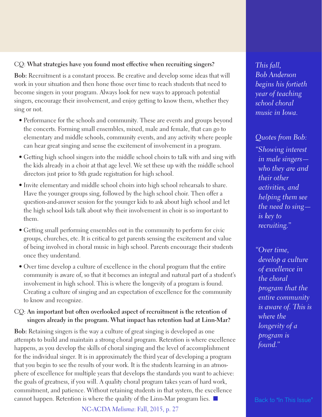### CQ: **What strategies have you found most effective when recruiting singers?**

**Bob:** Recruitment is a constant process. Be creative and develop some ideas that will work in your situation and then hone those over time to reach students that need to become singers in your program. Always look for new ways to approach potential singers, encourage their involvement, and enjoy getting to know them, whether they sing or not.

- Performance for the schools and community. These are events and groups beyond the concerts. Forming small ensembles, mixed, male and female, that can go to elementary and middle schools, community events, and any activity where people can hear great singing and sense the excitement of involvement in a program.
- Getting high school singers into the middle school choirs to talk with and sing with the kids already in a choir at that age level. We set these up with the middle school directors just prior to 8th grade registration for high school.
- Invite elementary and middle school choirs into high school rehearsals to share. Have the younger groups sing, followed by the high school choir. Then offer a question-and-answer session for the younger kids to ask about high school and let the high school kids talk about why their involvement in choir is so important to them.
- Getting small performing ensembles out in the community to perform for civic groups, churches, etc. It is critical to get parents sensing the excitement and value of being involved in choral music in high school. Parents encourage their students once they understand.
- Over time develop a culture of excellence in the choral program that the entire community is aware of, so that it becomes an integral and natural part of a student's involvement in high school. This is where the longevity of a program is found. Creating a culture of singing and an expectation of excellence for the community to know and recognize.

### CQ: **An important but often overlooked aspect of recruitment is the retention of singers already in the program. What impact has retention had at Linn-Mar?**

**Bob:** Retaining singers is the way a culture of great singing is developed as one attempts to build and maintain a strong choral program. Retention is where excellence happens, as you develop the skills of choral singing and the level of accomplishment for the individual singer. It is in approximately the third year of developing a program that you begin to see the results of your work. It is the students learning in an atmosphere of excellence for multiple years that develops the standards you want to achieve: the goals of greatness, if you will. A quality choral program takes years of hard work, commitment, and patience. Without retaining students in that system, the excellence cannot happen. Retention is where the quality of the Linn-Mar program lies.  $\Box$  Back to "In This [Issue"](#page-1-0)

NC-ACDA *Melisma*: Fall, 2015, p. 27

*This fall, Bob Anderson begins his fortieth year of teaching school choral music in Iowa.*

*Quotes from Bob: "Showing interest in male singers who they are and their other activities, and helping them see the need to sing is key to recruiting."*

*"Over time, develop a culture of excellence in the choral program that the entire community is aware of. This is where the longevity of a program is found."*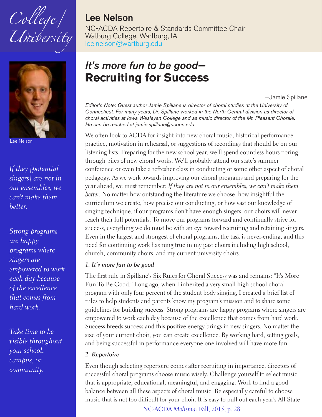<span id="page-27-0"></span>



Lee Nelson

*If they [potential singers] are not in our ensembles, we can't make them better.*

*Strong programs are happy programs where singers are empowered to work each day because of the excellence that comes from hard work.*

*Take time to be visible throughout your school, campus, or community.*

### **Lee Nelson**

NC-ACDA Repertoire & Standards Committee Chair Watburg College, Wartburg, IA [lee.nelson@wartburg.edu](mailto:lee.nelson@wartburg.edu)

### *It's more fun to be good—* **Recruiting for Success**

—Jamie Spillane

*Editor's Note: Guest author Jamie Spillane is director of choral studies at the University of Connecticut. For many years, Dr. Spillane worked in the North Central division as director of choral activities at Iowa Wesleyan College and as music director of the Mt. Pleasant Chorale. He can be reached at jamie.spillane@uconn.edu*

We often look to ACDA for insight into new choral music, historical performance practice, motivation in rehearsal, or suggestions of recordings that should be on our listening lists. Preparing for the new school year, we'll spend countless hours poring through piles of new choral works. We'll probably attend our state's summer conference or even take a refresher class in conducting or some other aspect of choral pedagogy. As we work towards improving our choral programs and preparing for the year ahead, we must remember: *If they are not in our ensembles, we can't make them better.* No matter how outstanding the literature we choose, how insightful the curriculum we create, how precise our conducting, or how vast our knowledge of singing technique, if our programs don't have enough singers, our choirs will never reach their full potentials. To move our programs forward and continually strive for success, everything we do must be with an eye toward recruiting and retaining singers. Even in the largest and strongest of choral programs, the task is never-ending, and this need for continuing work has rung true in my past choirs including high school, church, community choirs, and my current university choirs.

### *1. It's more fun to be good*

The first rule in Spillane's Six Rules for Choral Success was and remains: "It's More Fun To Be Good." Long ago, when I inherited a very small high school choral program with only four percent of the student body singing, I created a brief list of rules to help students and parents know my program's mission and to share some guidelines for building success. Strong programs are happy programs where singers are empowered to work each day because of the excellence that comes from hard work. Success breeds success and this positive energy brings in new singers. No matter the size of your current choir, you can create excellence. By working hard, setting goals, and being successful in performance everyone one involved will have more fun.

#### *2. Repertoire*

Even though selecting repertoire comes after recruiting in importance, directors of successful choral programs choose music wisely. Challenge yourself to select music that is appropriate, educational, meaningful, and engaging. Work to find a good balance between all these aspects of choral music. Be especially careful to choose music that is not too difficult for your choir. It is easy to pull out each year's All-State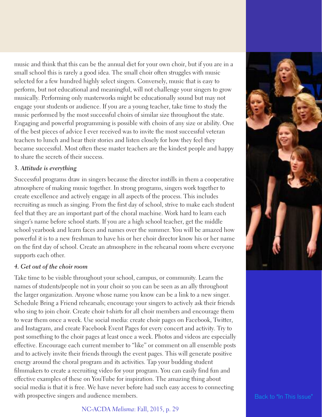music and think that this can be the annual diet for your own choir, but if you are in a small school this is rarely a good idea. The small choir often struggles with music selected for a few hundred highly select singers. Conversely, music that is easy to perform, but not educational and meaningful, will not challenge your singers to grow musically. Performing only masterworks might be educationally sound but may not engage your students or audience. If you are a young teacher, take time to study the music performed by the most successful choirs of similar size throughout the state. Engaging and powerful programming is possible with choirs of any size or ability. One of the best pieces of advice I ever received was to invite the most successful veteran teachers to lunch and hear their stories and listen closely for how they feel they became successful. Most often these master teachers are the kindest people and happy to share the secrets of their success.

### *3. Attitude is everything*

Successful programs draw in singers because the director instills in them a cooperative atmosphere of making music together. In strong programs, singers work together to create excellence and actively engage in all aspects of the process. This includes recruiting as much as singing. From the first day of school, strive to make each student feel that they are an important part of the choral machine. Work hard to learn each singer's name before school starts. If you are a high school teacher, get the middle school yearbook and learn faces and names over the summer. You will be amazed how powerful it is to a new freshman to have his or her choir director know his or her name on the first day of school. Create an atmosphere in the rehearsal room where everyone supports each other.

#### *4. Get out of the choir room*

Take time to be visible throughout your school, campus, or community. Learn the names of students/people not in your choir so you can be seen as an ally throughout the larger organization. Anyone whose name you know can be a link to a new singer. Schedule Bring a Friend rehearsals; encourage your singers to actively ask their friends who sing to join choir. Create choir t-shirts for all choir members and encourage them to wear them once a week. Use social media: create choir pages on Facebook, Twitter, and Instagram, and create Facebook Event Pages for every concert and activity. Try to post something to the choir pages at least once a week. Photos and videos are especially effective. Encourage each current member to "like" or comment on all ensemble posts and to actively invite their friends through the event pages. This will generate positive energy around the choral program and its activities. Tap your budding student filmmakers to create a recruiting video for your program. You can easily find fun and effective examples of these on YouTube for inspiration. The amazing thing about social media is that it is free. We have never before had such easy access to connecting with prospective singers and audience members. Back to "In This [Issue"](#page-1-0)



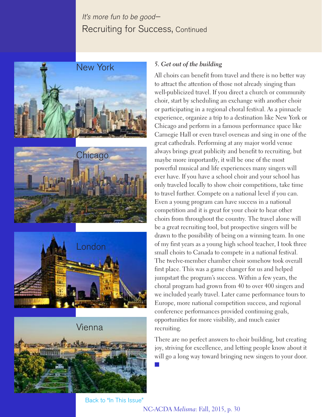### It's more fun to be good— Recruiting for Success, Continued









#### *5. Get out of the building*

All choirs can benefit from travel and there is no better way to attract the attention of those not already singing than well-publicized travel. If you direct a church or community choir, start by scheduling an exchange with another choir or participating in a regional choral festival. As a pinnacle experience, organize a trip to a destination like New York or Chicago and perform in a famous performance space like Carnegie Hall or even travel overseas and sing in one of the great cathedrals. Performing at any major world venue always brings great publicity and benefit to recruiting, but maybe more importantly, it will be one of the most powerful musical and life experiences many singers will ever have. If you have a school choir and your school has only traveled locally to show choir competitions, take time to travel further. Compete on a national level if you can. Even a young program can have success in a national competition and it is great for your choir to hear other choirs from throughout the country. The travel alone will be a great recruiting tool, but prospective singers will be drawn to the possibility of being on a winning team. In one of my first years as a young high school teacher, I took three small choirs to Canada to compete in a national festival. The twelve-member chamber choir somehow took overall first place. This was a game changer for us and helped jumpstart the program's success. Within a few years, the choral program had grown from 40 to over 400 singers and we included yearly travel. Later came performance tours to Europe, more national competition success, and regional conference performances provided continuing goals, opportunities for more visibility, and much easier recruiting.

There are no perfect answers to choir building, but creating joy, striving for excellence, and letting people know about it will go a long way toward bringing new singers to your door.

Back to "In This [Issue"](#page-1-0)

#### NC-ACDA *Melisma*: Fall, 2015, p. 30

n